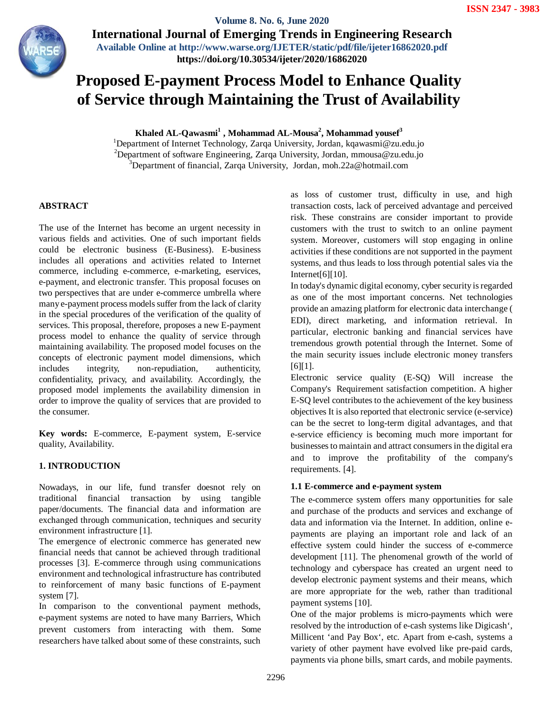**Exercise AL-Qayasian Solume 8. No. 6, June 2020 International Journal of Emerging Trends in Engineering Research Available Online at http://www.warse.org/IJETER/static/pdf/file/ijeter16862020.pdf**

**https://doi.org/10.30534/ijeter/2020/16862020**

# **Proposed E-payment Process Model to Enhance Quality of Service through Maintaining the Trust of Availability**

**Khaled AL-Qawasmi<sup>1</sup> , Mohammad AL-Mousa<sup>2</sup> , Mohammad yousef<sup>3</sup>**

<sup>1</sup>Department of Internet Technology, Zarqa University, Jordan, kqawasmi@zu.edu.jo <sup>2</sup>Department of software Engineering, Zarqa University, Jordan, mmousa@zu.edu.jo <sup>3</sup>Department of financial, Zarqa University, Jordan, moh.22a@hotmail.com

## **ABSTRACT**

The use of the Internet has become an urgent necessity in various fields and activities. One of such important fields could be electronic business (E-Business). E-business includes all operations and activities related to Internet commerce, including e-commerce, e-marketing, eservices, e-payment, and electronic transfer. This proposal focuses on two perspectives that are under e-commerce umbrella where many e-payment process models suffer from the lack of clarity in the special procedures of the verification of the quality of services. This proposal, therefore, proposes a new E-payment process model to enhance the quality of service through maintaining availability. The proposed model focuses on the concepts of electronic payment model dimensions, which includes integrity, non-repudiation, authenticity, confidentiality, privacy, and availability. Accordingly, the proposed model implements the availability dimension in order to improve the quality of services that are provided to the consumer.

**Key words:** E-commerce, E-payment system, E-service quality, Availability.

## **1. INTRODUCTION**

Nowadays, in our life, fund transfer doesnot rely on traditional financial transaction by using tangible paper/documents. The financial data and information are exchanged through communication, techniques and security environment infrastructure [1].

The emergence of electronic commerce has generated new financial needs that cannot be achieved through traditional processes [3]. E-commerce through using communications environment and technological infrastructure has contributed to reinforcement of many basic functions of E-payment system [7].

In comparison to the conventional payment methods, e-payment systems are noted to have many Barriers, Which prevent customers from interacting with them. Some researchers have talked about some of these constraints, such as loss of customer trust, difficulty in use, and high transaction costs, lack of perceived advantage and perceived risk. These constrains are consider important to provide customers with the trust to switch to an online payment system. Moreover, customers will stop engaging in online activities if these conditions are not supported in the payment systems, and thus leads to loss through potential sales via the Internet[6][10].

In today's dynamic digital economy, cyber security is regarded as one of the most important concerns. Net technologies provide an amazing platform for electronic data interchange ( EDI), direct marketing, and information retrieval. In particular, electronic banking and financial services have tremendous growth potential through the Internet. Some of the main security issues include electronic money transfers [6][1].

Electronic service quality (E-SQ) Will increase the Company's Requirement satisfaction competition. A higher E-SQ level contributes to the achievement of the key business objectives It is also reported that electronic service (e-service) can be the secret to long-term digital advantages, and that e-service efficiency is becoming much more important for businesses to maintain and attract consumers in the digital era and to improve the profitability of the company's requirements. [4].

## **1.1 E-commerce and e-payment system**

The e-commerce system offers many opportunities for sale and purchase of the products and services and exchange of data and information via the Internet. In addition, online epayments are playing an important role and lack of an effective system could hinder the success of e-commerce development [11]. The phenomenal growth of the world of technology and cyberspace has created an urgent need to develop electronic payment systems and their means, which are more appropriate for the web, rather than traditional payment systems [10].

One of the major problems is micro-payments which were resolved by the introduction of e-cash systems like Digicash', Millicent 'and Pay Box', etc. Apart from e-cash, systems a variety of other payment have evolved like pre-paid cards, payments via phone bills, smart cards, and mobile payments.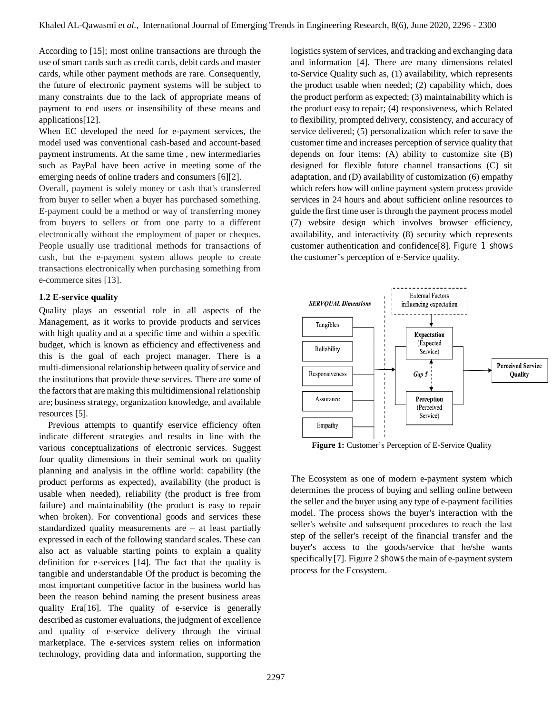According to [15]; most online transactions are through the use of smart cards such as credit cards, debit cards and master cards, while other payment methods are rare. Consequently, the future of electronic payment systems will be subject to many constraints due to the lack of appropriate means of payment to end users or insensibility of these means and applications[12].

When EC developed the need for e-payment services, the model used was conventional cash-based and account-based payment instruments. At the same time , new intermediaries such as PayPal have been active in meeting some of the emerging needs of online traders and consumers [6][2].

Overall, payment is solely money or cash that's transferred from buyer to seller when a buyer has purchased something. E-payment could be a method or way of transferring money from buyers to sellers or from one party to a different electronically without the employment of paper or cheques. People usually use traditional methods for transactions of cash, but the e-payment system allows people to create transactions electronically when purchasing something from e-commerce sites [13].

#### **1.2 E-service quality**

Quality plays an essential role in all aspects of the Management, as it works to provide products and services with high quality and at a specific time and within a specific budget, which is known as efficiency and effectiveness and this is the goal of each project manager. There is a multi-dimensional relationship between quality of service and the institutions that provide these services. There are some of the factors that are making this multidimensional relationship are; business strategy, organization knowledge, and available resources [5].

Previous attempts to quantify eservice efficiency often indicate different strategies and results in line with the various conceptualizations of electronic services. Suggest four quality dimensions in their seminal work on quality planning and analysis in the offline world: capability (the product performs as expected), availability (the product is usable when needed), reliability (the product is free from failure) and maintainability (the product is easy to repair when broken). For conventional goods and services these standardized quality measurements are – at least partially expressed in each of the following standard scales. These can also act as valuable starting points to explain a quality definition for e-services [14]. The fact that the quality is tangible and understandable Of the product is becoming the most important competitive factor in the business world has been the reason behind naming the present business areas quality Era[16]. The quality of e-service is generally described as customer evaluations, the judgment of excellence and quality of e-service delivery through the virtual marketplace. The e-services system relies on information technology, providing data and information, supporting the

logistics system of services, and tracking and exchanging data and information [4]. There are many dimensions related to-Service Quality such as, (1) availability, which represents the product usable when needed; (2) capability which, does the product perform as expected; (3) maintainability which is the product easy to repair; (4) responsiveness, which Related to flexibility, prompted delivery, consistency, and accuracy of service delivered; (5) personalization which refer to save the customer time and increases perception of service quality that depends on four items: (A) ability to customize site (B) designed for flexible future channel transactions (C) sit adaptation, and (D) availability of customization (6) empathy which refers how will online payment system process provide services in 24 hours and about sufficient online resources to guide the first time user is through the payment process model (7) website design which involves browser efficiency, availability, and interactivity (8) security which represents customer authentication and confidence[8]. Figure 1 shows the customer's perception of e-Service quality.



Figure 1: Customer's Perception of E-Service Quality

The Ecosystem as one of modern e-payment system which determines the process of buying and selling online between the seller and the buyer using any type of e-payment facilities model. The process shows the buyer's interaction with the seller's website and subsequent procedures to reach the last step of the seller's receipt of the financial transfer and the buyer's access to the goods/service that he/she wants specifically [7]. Figure 2 shows the main of e-payment system process for the Ecosystem.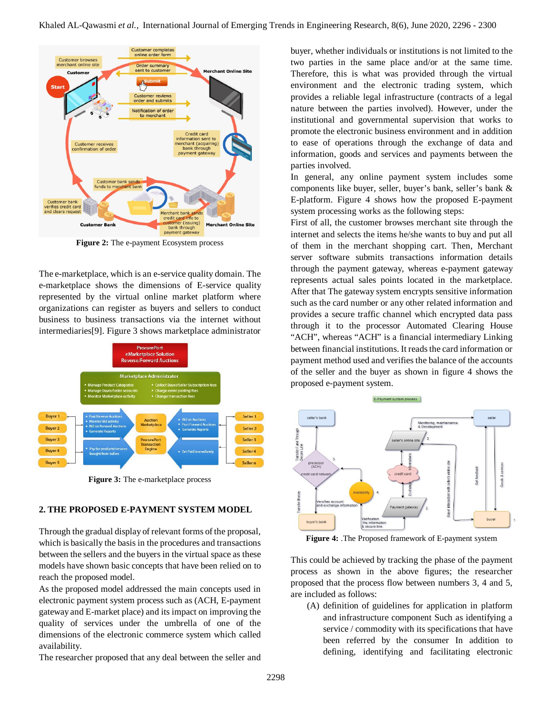

**Figure 2:** The e-payment Ecosystem process

The e-marketplace, which is an e-service quality domain. The e-marketplace shows the dimensions of E-service quality represented by the virtual online market platform where organizations can register as buyers and sellers to conduct business to business transactions via the internet without intermediaries[9]. Figure 3 shows marketplace administrator



**Figure 3:** The e-marketplace process

## **2. THE PROPOSED E-PAYMENT SYSTEM MODEL**

Through the gradual display of relevant forms of the proposal, which is basically the basis in the procedures and transactions between the sellers and the buyers in the virtual space as these models have shown basic concepts that have been relied on to reach the proposed model.

As the proposed model addressed the main concepts used in electronic payment system process such as (ACH, E-payment gateway and E-market place) and its impact on improving the quality of services under the umbrella of one of the dimensions of the electronic commerce system which called availability.

The researcher proposed that any deal between the seller and

buyer, whether individuals or institutions is not limited to the two parties in the same place and/or at the same time. Therefore, this is what was provided through the virtual environment and the electronic trading system, which provides a reliable legal infrastructure (contracts of a legal nature between the parties involved). However, under the institutional and governmental supervision that works to promote the electronic business environment and in addition to ease of operations through the exchange of data and information, goods and services and payments between the parties involved.

In general, any online payment system includes some components like buyer, seller, buyer's bank, seller's bank & E-platform. Figure 4 shows how the proposed E-payment system processing works as the following steps:

First of all, the customer browses merchant site through the internet and selects the items he/she wants to buy and put all of them in the merchant shopping cart. Then, Merchant server software submits transactions information details through the payment gateway, whereas e-payment gateway represents actual sales points located in the marketplace. After that The gateway system encrypts sensitive information such as the card number or any other related information and provides a secure traffic channel which encrypted data pass through it to the processor Automated Clearing House "ACH", whereas "ACH" is a financial intermediary Linking between financial institutions. It reads the card information or payment method used and verifies the balance of the accounts of the seller and the buyer as shown in figure 4 shows the proposed e-payment system.



**Figure 4:** .The Proposed framework of E-payment system

This could be achieved by tracking the phase of the payment process as shown in the above figures; the researcher proposed that the process flow between numbers 3, 4 and 5, are included as follows:

(A) definition of guidelines for application in platform and infrastructure component Such as identifying a service / commodity with its specifications that have been referred by the consumer In addition to defining, identifying and facilitating electronic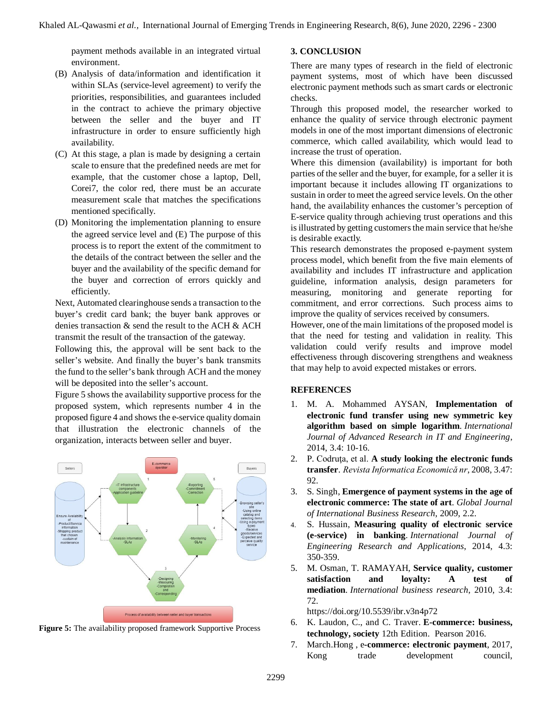payment methods available in an integrated virtual environment.

- (B) Analysis of data/information and identification it within SLAs (service-level agreement) to verify the priorities, responsibilities, and guarantees included in the contract to achieve the primary objective between the seller and the buyer and IT infrastructure in order to ensure sufficiently high availability.
- (C) At this stage, a plan is made by designing a certain scale to ensure that the predefined needs are met for example, that the customer chose a laptop, Dell, Corei7, the color red, there must be an accurate measurement scale that matches the specifications mentioned specifically.
- (D) Monitoring the implementation planning to ensure the agreed service level and (E) The purpose of this process is to report the extent of the commitment to the details of the contract between the seller and the buyer and the availability of the specific demand for the buyer and correction of errors quickly and efficiently.

Next, Automated clearinghouse sends a transaction to the buyer's credit card bank; the buyer bank approves or denies transaction & send the result to the ACH & ACH transmit the result of the transaction of the gateway.

Following this, the approval will be sent back to the seller's website. And finally the buyer's bank transmits the fund to the seller's bank through ACH and the money will be deposited into the seller's account.

Figure 5 shows the availability supportive process for the proposed system, which represents number 4 in the proposed figure 4 and shows the e-service quality domain that illustration the electronic channels of the organization, interacts between seller and buyer.



**Figure 5:** The availability proposed framework Supportive Process

#### **3. CONCLUSION**

There are many types of research in the field of electronic payment systems, most of which have been discussed electronic payment methods such as smart cards or electronic checks.

Through this proposed model, the researcher worked to enhance the quality of service through electronic payment models in one of the most important dimensions of electronic commerce, which called availability, which would lead to increase the trust of operation.

Where this dimension (availability) is important for both parties of the seller and the buyer, for example, for a seller it is important because it includes allowing IT organizations to sustain in order to meet the agreed service levels. On the other hand, the availability enhances the customer's perception of E-service quality through achieving trust operations and this is illustrated by getting customers the main service that he/she is desirable exactly.

This research demonstrates the proposed e-payment system process model, which benefit from the five main elements of availability and includes IT infrastructure and application guideline, information analysis, design parameters for measuring, monitoring and generate reporting for commitment, and error corrections. Such process aims to improve the quality of services received by consumers.

However, one of the main limitations of the proposed model is that the need for testing and validation in reality. This validation could verify results and improve model effectiveness through discovering strengthens and weakness that may help to avoid expected mistakes or errors.

#### **REFERENCES**

- 1. M. A. Mohammed AYSAN, **Implementation of electronic fund transfer using new symmetric key algorithm based on simple logarithm**. *International Journal of Advanced Research in IT and Engineering*, 2014, 3.4: 10-16.
- 2. P. Codruţa, et al. **A study looking the electronic funds transfer**. *Revista Informatica Economică nr*, 2008, 3.47: 92.
- 3. S. Singh, **Emergence of payment systems in the age of electronic commerce: The state of art**. *Global Journal of International Business Research*, 2009, 2.2.
- 4. S. Hussain, **Measuring quality of electronic service (e-service) in banking**. *International Journal of Engineering Research and Applications*, 2014, 4.3: 350-359.
- 5. M. Osman, T. RAMAYAH, **Service quality, customer satisfaction and loyalty: A test of mediation**. *International business research*, 2010, 3.4: 72.

https://doi.org/10.5539/ibr.v3n4p72

- 6. K. Laudon, C., and C. Traver. **E-commerce: business, technology, society** 12th Edition. Pearson 2016.
- 7. March.Hong , e**-commerce: electronic payment**, 2017, Kong trade development council,